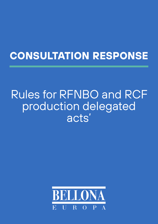# **CONSULTATION RESPONSE**

# Rules for RFNBO and RCF production delegated acts'

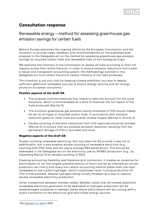## **Consultation response**

## Renewable energy – method for assessing greenhouse gas emission savings for certain fuels

Bellona Europa welcomes the ongoing efforts by the European Commission, and the invitation to provide views, feedback and recommendations on the published draft proposal to the Delegated act on the method for assessing greenhouse gas emission savings for recycled carbon fuels and renewable fuels of non-biological origin.

We welcome the intention of the Commission to assess all fuels according to their full impacts across their entire lifecycle. In order to ensure emission reductions and create a robust and transparent accounting system, the methodology outlined in this delegated act must reflect the entire carbon intensity of the fuels produced.

This intention is not only vital for keeping climate ambitions, but also to deploy sufficient additional renewable sources to ensure energy security and fair energy prices for European consumers.<sup>[1](#page-1-0)</sup>

## **Positive aspects of the draft DA**

- The proposal outlines measures that intend to take into account full life cycle emissions, which is commendable as it aims to illustrate the full impact of the fuels produced (Recital 4).
- The minimum greenhouse gas emission saving threshold of 70% should indeed be set for all types of recycled carbon fuels, in accordance with emission reduction goals for other fuels and overall climate targets (Recital 2, Article 2).
- Double counting of emission reductions from CO2 captured should be avoided (Recital 5) to ensure that any possible emission reduction resulting from the permanent storage of CO2 is recorded only once.

## **Negative aspects of the draft DA**

Double counting renewable electricity: Not only does the DA provide a way out of additionality, but it also enables double counting of renewable electricity (e.g., counting both PPA solar and the yearly average RES penetration). This should be addressed in the Delegated act on the electricity use for RFNBO production (e.g., by expanding Recital 14 on double counting of RES).

Enabling accounting flexibility and therefore grid connection: it creates an incentive for electrolysers to run the longest possible amount of hours and be as inflexible as can be; producers can cherry pick every hour which accounting method yields them the most renewable or low-carbon hydrogen, which incentivises never turning production off. This is now possible, despite hydrogen being initially foreseen as a way to capture excess renewable electricity production.

Unfair competition between member states: Member states that do foresee additional renewable electricity generation to be dedicated to hydrogen production will be disadvantaged compared to member states where electrolysers will be running with a direct connection to the electricity grid with mixed energy sources.

<span id="page-1-0"></span><sup>1</sup> AK, [Edelsprit für alles?,](https://www.arbeiterkammer.at/service/studien/wirtschaftundpolitik/studien/AK-Studie_Edelsprit_fuer_alles.pdf) 2021.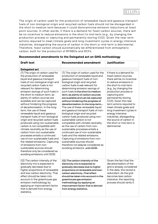

The origin of carbon used for the production of renewable liquid and gaseous transport fuels of non-biological origin and recycled carbon fuels should not be disregarded in the short to medium term because it could disincentivise emission reductions at fossil point sources. In other words, if there is a demand for fossil carbon sources, there will be no incentive to reduce emissions in the short to mid-term (e.g., by changing the production process or capturing and permanently storing CO2). Given the near term actions required to meet climate goals and long investment cycles in energy intensive industries, disregarding the source of carbon in the short or mid-term is detrimental. Therefore, fossil carbon should automatically be differentiated from atmospheric carbon, both for the production of RFNBOs and RCFs.

| <b>Draft text</b>                                                                                                                                                                                                                                                                                                                                                                                                                                                                                                                                                                                                                                                                                                                                                                                                                                                                                                             | <b>Recommended amendment</b>                                                                                                                                                                                                                                                                                                                                                                                                                                                                                                                                                                                                                                                                                                                                                                                                                                                                                                    | <b>Justification</b>                                                                                                                                                                                                                                                                                                                                                                                                                                             |  |  |  |
|-------------------------------------------------------------------------------------------------------------------------------------------------------------------------------------------------------------------------------------------------------------------------------------------------------------------------------------------------------------------------------------------------------------------------------------------------------------------------------------------------------------------------------------------------------------------------------------------------------------------------------------------------------------------------------------------------------------------------------------------------------------------------------------------------------------------------------------------------------------------------------------------------------------------------------|---------------------------------------------------------------------------------------------------------------------------------------------------------------------------------------------------------------------------------------------------------------------------------------------------------------------------------------------------------------------------------------------------------------------------------------------------------------------------------------------------------------------------------------------------------------------------------------------------------------------------------------------------------------------------------------------------------------------------------------------------------------------------------------------------------------------------------------------------------------------------------------------------------------------------------|------------------------------------------------------------------------------------------------------------------------------------------------------------------------------------------------------------------------------------------------------------------------------------------------------------------------------------------------------------------------------------------------------------------------------------------------------------------|--|--|--|
| <b>Delegated act</b>                                                                                                                                                                                                                                                                                                                                                                                                                                                                                                                                                                                                                                                                                                                                                                                                                                                                                                          |                                                                                                                                                                                                                                                                                                                                                                                                                                                                                                                                                                                                                                                                                                                                                                                                                                                                                                                                 |                                                                                                                                                                                                                                                                                                                                                                                                                                                                  |  |  |  |
| (7) The origin of carbon used for<br>the production of renewable<br>liquid and gaseous transport<br>fuels of non-biological origin and<br>recycled carbon fuels is not<br>relevant for determining<br>emission savings of such fuels in<br>the short to medium term, as<br>plenty of carbon sources are<br>available and can be captured<br>without hindering the progress<br>of decarbonisation. In the long-<br>term, the use of these<br>renewable liquid and gaseous<br>transport fuels of non-biological<br>origin and recycled carbon fuels<br>produced using non-sustainable<br>carbon is not compatible with<br>climate neutrality as the use of<br>carbon from non-sustainable<br>processes entails a continued<br>use of non-sustainable fuels and<br>the related emissions. Capturing<br>of emissions from non-<br>sustainable sources should<br>therefore only be considered as<br>avoiding emissions until 2035. | (7) The origin of carbon used for the<br>production of renewable liquid and<br>gaseous transport fuels of non-<br>biological origin and recycled<br>carbon fuels is not relevant for<br>determining emission savings of<br>such fuels in the short to medium<br>term, as plenty of carbon sources<br>are available and can be captured<br>without hindering the progress of<br>decarbonisation. In the long-term,<br>The use of these renewable liquid<br>and gaseous transport fuels of non-<br>biological origin and recycled<br>carbon fuels produced using non-<br>sustainable carbon is not<br>compatible with climate neutrality<br>as the use of carbon from non-<br>sustainable processes entails a<br>continued use of non-sustainable<br>fuels and the related emissions.<br>Capturing of emissions from non-<br>sustainable sources should<br>therefore not only be considered as<br>avoiding emissions. until 2035. | if there is a demand for<br>fossil carbon sources.<br>there will be no incentive<br>to reduce emissions in<br>the short to mid-term<br>(e.g., by changing the<br>production process or<br>capturing and<br>permanently storing<br>CO2). Given the near<br>term actions required to<br>meet climate goals and<br>long investment cycles in<br>energy intensive<br>industries, disregarding<br>the source of carbon in<br>the short or mid-term is<br>detrimental. |  |  |  |
| (12) The carbon intensity of the<br>electricity mix is expected to<br>gradually decrease due to<br>higher proportions of renewable<br>and low-carbon electricity. That<br>effect should be taken into<br>account in the greenhouse gas<br>emission methodology by<br>applying an improvement factor<br>that is derived from energy<br>statistics.                                                                                                                                                                                                                                                                                                                                                                                                                                                                                                                                                                             | (12) The carbon intensity of the<br>electricity mix is expected to<br>gradually decrease due to higher<br>proportions of renewable and low-<br>carbon electricity. That effect<br>should be taken into account in the<br>greenhouse gas emission<br>methodology by applying an<br>improvement factor that is derived<br>from energy statistics,                                                                                                                                                                                                                                                                                                                                                                                                                                                                                                                                                                                 | Given the fact that the<br>decarbonisation of the<br>grid is already considered<br>in the data, this recital is<br>redundant. As the grid<br>becomes less carbon<br>intensive, the reporting<br>process should verify it.                                                                                                                                                                                                                                        |  |  |  |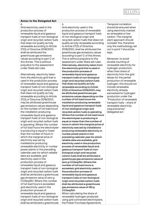## BELLON

#### **Annex to the Delegated Act** 6.

Grid electricity used in the production process of renewable liquid and gaseous transport fuels of non-biological origin and recycled carbon fuels that does not qualify as fully renewable according to Article 27(3) of Directive 2018/2001, shall be attributed the greenhouse gas emissions values according to part C of this Annex. This is without prejudice to the assessment under State aid rules.

Alternatively, electricity taken from the electricity grid that is used in the production process of renewable liquid and gaseous transport fuels of non-biological origin and recycled carbon fuels that does not qualify as fully renewable according to Article 27(3) of Directive 2018/2001, may be attributed greenhouse gas emissions values depending on the number of full load hours the installation producing renewable liquid and gaseous transport fuels of non-biological origin and recycled carbon fuels is operating. Where the number of full load hours the electrolyser is producing is equal or lower than the number of hours in which the marginal price of electricity was set by installations producing renewable electricity or nuclear power plants in the preceding calendar year for which reliable data are available, grid electricity used in the production process of renewable liquid and gaseous transport fuels of non-biological origin and recycled carbon fuels shall be attributed a greenhouse gas emissions value of zero g CO2eq/MJ. Where this number of full load hours is exceeded, grid electricity used in the production process of renewable liquid and gaseous transport fuels of non-biological origin and recycled carbon fuels shall be attributed a greenhouse

#### 6.

Grid electricity used in the production process of renewable liquid and gaseous transport fuels of non-biological origin and recycled carbon fuels that does not qualify as fully renewable according to Article 27(3) of Directive 2018/2001, shall be attributed the greenhouse gas emissions values according to part C of this Annex. This is without prejudice to the assessment under State aid rules. Alternatively, electricity taken from the electricity grid that is used in the production process of renewable liquid and gaseous transport fuels of non-biological origin and recycled carbon fuels that does not qualify as fully renewable according to Article 27(3) of Directive 2018/2001, may be attributed greenhouse gas emissions values depending on the number of full load hours the installation producing renewable liquid and gaseous transport fuels of non-biological origin and recycled carbon fuels is operating. Where the number of full load hours the electrolyser is producing is equal or lower than the number of hours in which the marginal price of electricity was set by installations producing renewable electricity or nuclear power plants in the preceding calendar year for which reliable data are available, grid electricity used in the production process of renewable liquid and gaseous transport fuels of nonbiological origin and recycled carbon fuels shall be attributed a greenhouse gas emissions value of zero g CO2eq/MJ. Where this number of full load hours is exceeded, grid electricity used in the production process of renewable liquid and gaseous transport fuels of non-biological origin and recycled carbon fuels shall be attributed a greenhouse gas emissions value of 183 g CO2eq/MJ.

When calculating the share of renewable hydrogen produced using grid connected electrolysers, the Power Purchase Agreements

Temporal correlation should be ensured when using electricity marked as renewable or low carbon. The marginal plant approach should consider this, therefore only the methodology set out in point 7 should be kept.

Moreover, to avoid double counting of renewable electricity for hydrogen production, when then share of electricity from the grid allows for the partial production of renewable hydrogen, this should not include renewable electricity already earmarked for hydrogen production under the "Production of renewable transport fuels – share of renewable electricity (requirements)" delegated act.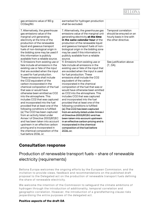## BELLONA

| gas emissions value of 183 g<br>CO2eq/MJ.                                                                                                                                                                                                                                                                                                                                                                                                                                                                                                                                                                                                                                                                                                                                                                                       | earmarked for hydrogen production<br>shall be excluded.                                                                                                                                                                                                                                                                                                                                                                                                                                                                                                                                                                                                                                                                                                                                                                      |                                                                                                      |
|---------------------------------------------------------------------------------------------------------------------------------------------------------------------------------------------------------------------------------------------------------------------------------------------------------------------------------------------------------------------------------------------------------------------------------------------------------------------------------------------------------------------------------------------------------------------------------------------------------------------------------------------------------------------------------------------------------------------------------------------------------------------------------------------------------------------------------|------------------------------------------------------------------------------------------------------------------------------------------------------------------------------------------------------------------------------------------------------------------------------------------------------------------------------------------------------------------------------------------------------------------------------------------------------------------------------------------------------------------------------------------------------------------------------------------------------------------------------------------------------------------------------------------------------------------------------------------------------------------------------------------------------------------------------|------------------------------------------------------------------------------------------------------|
| 7. Alternatively, the greenhouse<br>gas emissions value of the<br>marginal unit generating<br>electricity at the time of the<br>production of the renewable<br>liquid and gaseous transport<br>fuels of non-biological origin in<br>the bidding zone may be used if<br>this information is publicly<br>available from a reliable source.                                                                                                                                                                                                                                                                                                                                                                                                                                                                                        | 7. Alternatively, the greenhouse gas<br>emissions value of the marginal unit<br>generating electricity at the time<br>in the same calendar hour of the<br>production of the renewable liquid<br>and gaseous transport fuels of non-<br>biological origin in the bidding zone<br>may be used if this information is<br>publicly available from a reliable<br>source.                                                                                                                                                                                                                                                                                                                                                                                                                                                          | Temporal correlation<br>should be ensured on an<br>hourly basis in line with<br>the other directive. |
| 11. Emissions from existing use or<br>fate include all emissions in the<br>existing use or fate of the input<br>that are avoided when the input<br>is used for fuel production.<br>These emissions shall include<br>the CO2 equivalent of the<br>carbon incorporated in the<br>chemical composition of the fuel<br>that was or would have<br>otherwise been emitted as CO2<br>into the atmosphere. This<br>includes CO2 that was captured<br>and incorporated into the fuel<br>provided that at least one of the<br>following conditions is fulfilled:<br>(a) The CO2 has been captured<br>from an activity listed under<br>Annex I of Directive 2003/87/EC<br>and has been taken into account<br>upstream in an effective carbon<br>pricing and is incorporated in<br>the chemical composition of the<br>fuel before 2036, or; | 11. Emissions from existing use or<br>fate include all emissions in the<br>existing use or fate of the input that<br>are avoided when the input is used<br>for fuel production. These<br>emissions shall include the CO2<br>equivalent of the carbon<br>incorporated in the chemical<br>composition of the fuel that was or<br>would have otherwise been emitted<br>as CO2 into the atmosphere. This<br>includes CO2 that was captured<br>and incorporated into the fuel<br>provided that at least one of the<br>following conditions is fulfilled:<br>(a) The CO2 has been captured<br>from an activity listed under Annex I<br>of Directive 2003/87/EC and has<br>been taken into account upstream<br>in an effective carbon pricing and is<br>incorporated in the chemical<br>composition of the fuel before<br>2036, or; | See justification above<br>(7., DA).                                                                 |

## **Consultation response**

## Production of renewable transport fuels – share of renewable electricity (requirements)

Bellona Europa welcomes the ongoing efforts by the European Commission, and the invitation to provide views, feedback and recommendations on the published draft proposal to the Delegated act on the production of renewable transport fuels defining the share of renewable electricity.

We welcome the intention of the Commission to safeguard the climate ambitions of hydrogen through the introduction of additionality, temporal correlation and geographic correlation. However, the introduction of a grandfathering clause risks jeopardising the entire purposes of the delegated act.

## **Positive aspects of the draft DA**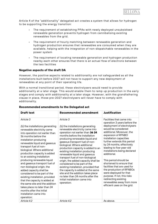

Article 4 of the "additionality" delegated act creates a system that allows for hydrogen to be supporting the energy transition:

- The requirement of establishing PPAs with newly deployed unsubsidised renewable generation prevents hydrogen from cannibalising existing renewables from the grid.
- The requirement of hourly matching between renewable generation and hydrogen production ensures that renewables are consumed when they are available, helping with the integration of non-dispatchable renewables in the power system
- The requirement of locating renewable generation and hydrogen production nearby each other ensures that there is an actual flow of electrons between the two facilities

### **Negative aspects of the draft DA**

However, the positive aspects related to additionality are not safeguarded as all the installations built before 2027 will not have to support any new deployment of renewables at any point of their operating life.

With a normal transitional period, these electrolysers would need to provide additionality at a later stage. This would enable them to ramp up production in the early stages and comply with additionality at a later stage. However, with the grandfathering clause in place, those pre-2027 electrolysers will never have to comply with additionality.

| <b>Draft text</b>                                                                                                                                                                                                                                                                                                                                                                                                                                                                                                                                                                                                                                                                           | <b>Recommended amendment</b>                                                                                                                                                                                                                                                                                                                                                                                                                                                                                                                                                                                                                                                          | <b>Justification</b>                                                                                                                                                                                                                                                                                                                                                                                                                                                                                                                                                                               |
|---------------------------------------------------------------------------------------------------------------------------------------------------------------------------------------------------------------------------------------------------------------------------------------------------------------------------------------------------------------------------------------------------------------------------------------------------------------------------------------------------------------------------------------------------------------------------------------------------------------------------------------------------------------------------------------------|---------------------------------------------------------------------------------------------------------------------------------------------------------------------------------------------------------------------------------------------------------------------------------------------------------------------------------------------------------------------------------------------------------------------------------------------------------------------------------------------------------------------------------------------------------------------------------------------------------------------------------------------------------------------------------------|----------------------------------------------------------------------------------------------------------------------------------------------------------------------------------------------------------------------------------------------------------------------------------------------------------------------------------------------------------------------------------------------------------------------------------------------------------------------------------------------------------------------------------------------------------------------------------------------------|
| Article 3<br>(b) the installations generating<br>renewable electricity came<br>into operation not earlier than<br>36 months before the<br>installation producing<br>renewable liquid and gaseous<br>transport fuel of non-<br>biological. Where additional<br>production capacity is added<br>to an existing installation<br>producing renewable liquid<br>and gaseous transport fuel of<br>non-biological origin, the<br>added capacity shall be<br>considered to be part of the<br>existing installation, provided<br>that the capacity is added at<br>the same site and the addition<br>takes place no later than 24<br>months after the initial<br>installation came into<br>operation; | Article 3<br>(b) the installations generating<br>renewable electricity came into<br>operation not earlier than 36 24<br>months before the installation<br>producing renewable liquid and<br>gaseous transport fuel of non-<br>biological. Where additional<br>production capacity is added to an<br>existing installation producing<br>renewable liquid and gaseous<br>transport fuel of non-biological<br>origin, the added capacity shall be<br>considered to be part of the<br>existing installation, provided that<br>the capacity is added at the same<br>site and the addition takes place<br>no later than 24 months after the<br>initial installation came into<br>operation; | Facilities that came into<br>operation 3 years before the<br>deployment of electrolysers<br>would be considered<br>additional. Moreover, the<br>expansion of RFNBO<br>installation capacities<br>further extends this period<br>by 24 months, effectively<br>leading to five-year-old<br>installations being declared<br>additional.<br>This period should be<br>shortened to ensure that<br>facilities that are used for<br>the production of RFNBOs<br>were deployed for that<br>purpose. If not, this risks<br>redirecting existing<br>renewables away from more<br>efficient uses on the grid. |
| Article 4.2                                                                                                                                                                                                                                                                                                                                                                                                                                                                                                                                                                                                                                                                                 | Article 4.2                                                                                                                                                                                                                                                                                                                                                                                                                                                                                                                                                                                                                                                                           | As above.                                                                                                                                                                                                                                                                                                                                                                                                                                                                                                                                                                                          |

#### **Recommended amendments to the Delegated act**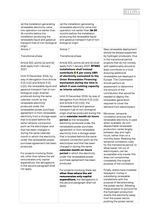# BELLONA

| (a) the installation generating<br>renewable electricity came<br>into operation not earlier than<br>36 months before the<br>installation producing the<br>renewable liquid and gaseous<br>transport fuel of non-biological<br>origin.                                                                                                                                                                                                                                                       | (a) the installation generating<br>renewable electricity came into<br>operation not earlier than 36-24<br>months before the installation<br>producing the renewable liquid<br>and gaseous transport fuel of non-<br>biological origin.                                                                                                                                                                                                                                                                           |                                                                                                                                                                                                                                                                                                                                                                                                                                                                                             |
|---------------------------------------------------------------------------------------------------------------------------------------------------------------------------------------------------------------------------------------------------------------------------------------------------------------------------------------------------------------------------------------------------------------------------------------------------------------------------------------------|------------------------------------------------------------------------------------------------------------------------------------------------------------------------------------------------------------------------------------------------------------------------------------------------------------------------------------------------------------------------------------------------------------------------------------------------------------------------------------------------------------------|---------------------------------------------------------------------------------------------------------------------------------------------------------------------------------------------------------------------------------------------------------------------------------------------------------------------------------------------------------------------------------------------------------------------------------------------------------------------------------------------|
| Article 7                                                                                                                                                                                                                                                                                                                                                                                                                                                                                   | Article 7                                                                                                                                                                                                                                                                                                                                                                                                                                                                                                        | New renewable deployment                                                                                                                                                                                                                                                                                                                                                                                                                                                                    |
| <b>Transitional phase</b>                                                                                                                                                                                                                                                                                                                                                                                                                                                                   | <b>Transitional phase</b><br>Article 4(2), points (a) and (b) shall                                                                                                                                                                                                                                                                                                                                                                                                                                              | should be always supported<br>by hydrogen producers, thus<br>in the transitional period,                                                                                                                                                                                                                                                                                                                                                                                                    |
| Article 4(2), points (a) and (b)<br>shall apply from 1 January<br>2027.                                                                                                                                                                                                                                                                                                                                                                                                                     | apply from 1 January 2027. RFNBO<br>installations shall instead<br>contribute <mark>X</mark> € per every kWh                                                                                                                                                                                                                                                                                                                                                                                                     | projects that do not comply<br>with additionality should at<br>least contribute to a fund<br>ensuring additional                                                                                                                                                                                                                                                                                                                                                                            |
| Until 31 December 2026, by<br>way of derogation from Article<br>4 (2) (c)(i) and Article 4 (2)                                                                                                                                                                                                                                                                                                                                                                                              | of electricity consumed to the<br><b>Union Renewables Financing</b><br>mechanism during the time in                                                                                                                                                                                                                                                                                                                                                                                                              | renewables are deployed in<br>Europe. The Commission<br>should perform an                                                                                                                                                                                                                                                                                                                                                                                                                   |
| (c)(ii), the renewable liquid and<br>gaseous transport fuel of non-<br>biological origin shall be                                                                                                                                                                                                                                                                                                                                                                                           | which it uses existing capacity<br>as interim solution.                                                                                                                                                                                                                                                                                                                                                                                                                                                          | assessment to determine<br>the amount of the<br>contribution that would be                                                                                                                                                                                                                                                                                                                                                                                                                  |
| produced during the same<br>calendar month as the<br>renewable electricity                                                                                                                                                                                                                                                                                                                                                                                                                  | Until 31 December 2026, by way of<br>derogation from Article 4 (2) (c)(i)<br>and Article 4 (2) (c)(ii), the                                                                                                                                                                                                                                                                                                                                                                                                      | needed to deploy the<br>renewable generation<br>required to cover the                                                                                                                                                                                                                                                                                                                                                                                                                       |
| produced under the<br>renewables power purchase                                                                                                                                                                                                                                                                                                                                                                                                                                             | renewable liquid and gaseous<br>transport fuel of non-biological                                                                                                                                                                                                                                                                                                                                                                                                                                                 | demand from electrolysers.                                                                                                                                                                                                                                                                                                                                                                                                                                                                  |
| agreement or from renewable<br>electricity from a storage asset<br>that is located behind the<br>same network connection<br>point as the electrolyser and<br>that has been charged in<br>during the same calendar<br>month in which the electricity<br>under the renewables power<br>purchase agreement has been<br>produced.<br>For projects involving State<br>aid, other than where the aid<br>remunerates only capital<br>expenditure, the derogations<br>in the second paragraph shall | origin shall be produced during the<br>same calendar month six hours<br>period as the renewable<br>electricity produced under the<br>renewables power purchase<br>agreement or from renewable<br>electricity from a storage asset<br>that is located behind the same<br>network connection point as the<br>electrolyser and that has been<br>charged in during the same<br>calendar month six hours<br>period in which the electricity<br>under the renewables power<br>purchase agreement has been<br>produced. | Moreover, temporal<br>correlation ensures that<br>renewable electricity is used<br>when available. As non-<br>dispatchable renewable<br>production varies largely<br>between day and night<br>hours, rather than on a<br>monthly basis. Relaxing the<br>temporal correlation rules<br>for the transitional period, to<br>allow easier roll out of<br>electrolysers, can be<br>acceptable only insofar this<br>does not compromise<br>completely the original<br>purpose of the correlation. |
| not apply.                                                                                                                                                                                                                                                                                                                                                                                                                                                                                  | For projects involving State aid,<br>other than where the aid                                                                                                                                                                                                                                                                                                                                                                                                                                                    | Finally, states have invested<br>taxpayers' money in                                                                                                                                                                                                                                                                                                                                                                                                                                        |

**remunerates only capital expenditure,** the derogations in the second paragraph shall not

apply.

taxpayers' money in subsidising renewable installations with the purpose of decarbonising the power sector. Allowing these projects to account for the hydrogen production diverts this electricity away from the power sector, pushing the power sector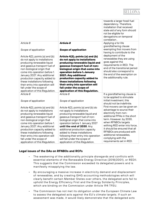# BELLO

|                                                             |                                                                    | towards a larger fossil fuel<br>dependency. Therefore,<br>installation that received<br>state aid of any form should<br>not be eligible for<br>derogations on temporal<br>correlation. |
|-------------------------------------------------------------|--------------------------------------------------------------------|----------------------------------------------------------------------------------------------------------------------------------------------------------------------------------------|
| Article 8                                                   | <b>Article 8</b>                                                   | Applying a for life<br>grandfathering clause                                                                                                                                           |
| Scope of application                                        | <b>Scope of application</b>                                        | exempting first movers from<br>having to contribute to the                                                                                                                             |
| Article 4(2), points (a) and (b)                            | Article 4(2), points (a) and (b)                                   | deployment of the                                                                                                                                                                      |
| do not apply to installations                               | do not apply to installations                                      | renewables they are using                                                                                                                                                              |
| producing renewable liquid                                  | producing renewable liquid and                                     | goes against the<br>requirements in RED. The                                                                                                                                           |
| and gaseous transport fuel of                               | gaseous transport fuel of non-                                     | end of the transitional period                                                                                                                                                         |
| non-biological origin that<br>come into operation before 1. | biological origin that come into<br>operation before 1. January    | should also correspond to                                                                                                                                                              |
| January 2027. Any additional                                | 2027. Any additional                                               | the end of the exemption on                                                                                                                                                            |
| production capacity added to                                | production capacity added to                                       | the additionality rule.                                                                                                                                                                |
| these installations following                               | these installations following                                      |                                                                                                                                                                                        |
| their entry into operation will                             | their entry into operation will                                    |                                                                                                                                                                                        |
| fall under the scope of                                     | fall under the scope of                                            |                                                                                                                                                                                        |
| application of this Regulation.                             | application of this Regulation.                                    |                                                                                                                                                                                        |
| Article 8                                                   | Article 8                                                          | If a grandfathering clause is<br>to be applied to stimulate                                                                                                                            |
| Scope of application                                        | Scope of application                                               | initial investment, this<br>should not be indefinite.                                                                                                                                  |
| Article 4(2), points (a) and (b)                            | Article 4(2), points (a) and (b) do                                | First movers can be given an                                                                                                                                                           |
| do not apply to installations                               | not apply to installations                                         | advantage to source their<br>electricity from non-                                                                                                                                     |
| producing renewable liquid                                  | producing renewable liquid and                                     | additional PPAs in the short                                                                                                                                                           |
| and gaseous transport fuel of<br>non-biological origin that | gaseous transport fuel of non-<br>biological origin that come into | term. However, by 2030,                                                                                                                                                                |
| come into operation before 1.                               | operation before 1. January 2027                                   | when RFNBOs targets                                                                                                                                                                    |
| January 2027. Any additional                                | until the end of 2030. Any                                         | withing RED enter into force,                                                                                                                                                          |
| production capacity added to                                | additional production capacity                                     | it should be ensured that all                                                                                                                                                          |
| these installations following                               | added to these installations                                       | RFNBOs are produced with                                                                                                                                                               |
| their entry into operation will                             | following their entry into operation                               | additional renewables,                                                                                                                                                                 |
| fall under the scope of                                     | will fall under the scope of                                       | complying with the                                                                                                                                                                     |
| application of this Regulation.                             | application of this Regulation.                                    | requirements set in RED.                                                                                                                                                               |

## **Legal issues of the DAs on RFNBOs and RCFs**

- The weakening of the additionality principle disregards and conflicts with essential elements of the Renewable Energy Directive (2018/2001), or REDII. This suggests that the Commission exceeded its delegated powers and is manifestly misapplying the law.
- By encouraging a massive increase in electricity demand and displacement of renewables, and by creating GHG accounting methodologies which will clearly benefit certain Member States over others, the delegated acts fail to uphold the Energy Efficiency First and the Energy Solidarity Principles, which are binding on the Commission under Article 194 TFEU.
- The Commission has not met its obligation under the European Climate Law to assess the delegated acts against the EU's climate targets. If such an assessment was made, it would likely demonstrate that the delegated acts